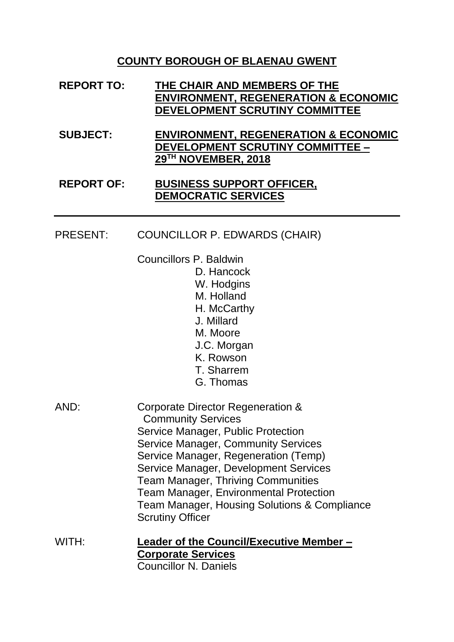## **COUNTY BOROUGH OF BLAENAU GWENT**

| <b>REPORT TO:</b> | THE CHAIR AND MEMBERS OF THE<br><b>ENVIRONMENT, REGENERATION &amp; ECONOMIC</b><br>DEVELOPMENT SCRUTINY COMMITTEE |
|-------------------|-------------------------------------------------------------------------------------------------------------------|
| <b>SUBJECT:</b>   | <b>ENVIRONMENT, REGENERATION &amp; ECONOMIC</b><br><b>DEVELOPMENT SCRUTINY COMMITTEE -</b><br>29TH NOVEMBER, 2018 |
| <b>REPORT OF:</b> | <b>BUSINESS SUPPORT OFFICER,</b><br><b>DEMOCRATIC SERVICES</b>                                                    |

## PRESENT: COUNCILLOR P. EDWARDS (CHAIR)

Councillors P. Baldwin

- D. Hancock
- W. Hodgins
- M. Holland
- H. McCarthy
- J. Millard
- M. Moore
- J.C. Morgan
- K. Rowson
- T. Sharrem
- G. Thomas
- AND: Corporate Director Regeneration & Community Services Service Manager, Public Protection Service Manager, Community Services Service Manager, Regeneration (Temp) Service Manager, Development Services Team Manager, Thriving Communities Team Manager, Environmental Protection Team Manager, Housing Solutions & Compliance Scrutiny Officer
- WITH: **Leader of the Council/Executive Member – Corporate Services** Councillor N. Daniels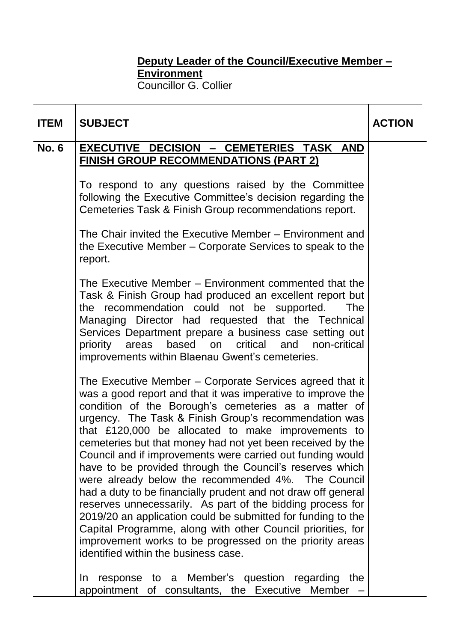## **Deputy Leader of the Council/Executive Member – Environment** Councillor G. Collier

| <b>ITEM</b>  | <b>SUBJECT</b>                                                                                                                                                                                                                                                                                                                                                                                                                                                                                                                                                                                                                                                                                                                                                                                                                                                                                                 | <b>ACTION</b> |
|--------------|----------------------------------------------------------------------------------------------------------------------------------------------------------------------------------------------------------------------------------------------------------------------------------------------------------------------------------------------------------------------------------------------------------------------------------------------------------------------------------------------------------------------------------------------------------------------------------------------------------------------------------------------------------------------------------------------------------------------------------------------------------------------------------------------------------------------------------------------------------------------------------------------------------------|---------------|
| <b>No. 6</b> | EXECUTIVE DECISION - CEMETERIES TASK AND                                                                                                                                                                                                                                                                                                                                                                                                                                                                                                                                                                                                                                                                                                                                                                                                                                                                       |               |
|              | FINISH GROUP RECOMMENDATIONS (PART 2)                                                                                                                                                                                                                                                                                                                                                                                                                                                                                                                                                                                                                                                                                                                                                                                                                                                                          |               |
|              | To respond to any questions raised by the Committee<br>following the Executive Committee's decision regarding the<br>Cemeteries Task & Finish Group recommendations report.                                                                                                                                                                                                                                                                                                                                                                                                                                                                                                                                                                                                                                                                                                                                    |               |
|              | The Chair invited the Executive Member – Environment and<br>the Executive Member – Corporate Services to speak to the<br>report.                                                                                                                                                                                                                                                                                                                                                                                                                                                                                                                                                                                                                                                                                                                                                                               |               |
|              | The Executive Member – Environment commented that the<br>Task & Finish Group had produced an excellent report but<br>the recommendation could not be supported.<br><b>The</b><br>Managing Director had requested that the Technical<br>Services Department prepare a business case setting out<br>based on critical<br>priority<br>areas<br>and<br>non-critical<br>improvements within Blaenau Gwent's cemeteries.                                                                                                                                                                                                                                                                                                                                                                                                                                                                                             |               |
|              | The Executive Member – Corporate Services agreed that it<br>was a good report and that it was imperative to improve the<br>condition of the Borough's cemeteries as a matter of<br>urgency. The Task & Finish Group's recommendation was<br>that £120,000 be allocated to make improvements to<br>cemeteries but that money had not yet been received by the<br>Council and if improvements were carried out funding would<br>have to be provided through the Council's reserves which<br>were already below the recommended 4%. The Council<br>had a duty to be financially prudent and not draw off general<br>reserves unnecessarily. As part of the bidding process for<br>2019/20 an application could be submitted for funding to the<br>Capital Programme, along with other Council priorities, for<br>improvement works to be progressed on the priority areas<br>identified within the business case. |               |
|              | response to a Member's question regarding the<br>In.<br>appointment of consultants, the Executive Member                                                                                                                                                                                                                                                                                                                                                                                                                                                                                                                                                                                                                                                                                                                                                                                                       |               |